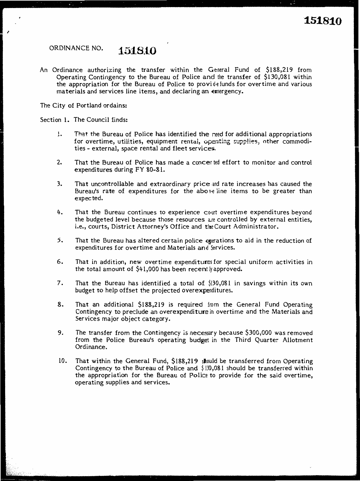### ORDINANCE NO. **1518.tO**

An Ordinance authorizing the transfer within the General Fund of \$188,219 from Operating Contingency to the Bureau of Police and the transfer of \$130,081 within the appropriation for the Bureau of Police to provide funds for over time and various materials and services line items, and declaring an emergency.

The City of Portland ordains:

Section 1. The Council finds:

- 1. That the Bureau of Police has identified the need for additional appropriations for overtime, utilities, equipment rental, operating supplies, other commodities - external, space rental and fleet services.
- 2. That the Bureau of Police has made a concerted effort to monitor and control expenditures during FY 80-81.
- 3. That uncontrollable and extraordinary price .and rate increases has caused the Bureau's rate of expenditures for the above line items to be greater than expected.
- 4. That the Bureau continues to experience court overtime expenditures beyond the budgeted level because those resources are controlled by external entities, i.e., courts, District Attorney's Office and the Court Administrator.
- 5. That the Bureau has altered certain police operations to aid in the reduction of expenditures for overtime and Materials and Services.
- 6. That in addition, new overtime expenditures for special uniform activities in the total amount of  $$41,000$  has been recently approved.
- 7. That the Bureau has identified a total of \$130,081 in savings within its own budget to help offset the projected overexpenditures.
- 8. That an additional \$188,219 is required from the General Fund Operating Contingency to preclude an overexpenditure in overtime and the Materials and Services major object category.
- 9. The transfer from the Contingency ls necessary because \$300,000 was removed from the Police Bureau's operating budget in the Third Quarter Allotment Ordinance.
- 10. That within the General Fund, \$188,219 should be transferred from Operating Contingency to the Bureau of Police and  $\frac{1}{9}$  130,081 should be transferred within the appropriation for the Bureau of Police to provide for the said overtime, operating supplies and services.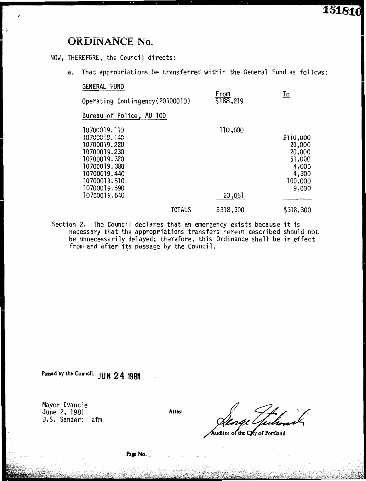## **ORDINANCE** No.

#### NOW, THEREFORE, the Council directs:

a. That appropriations be transferred within the General Fund as follows:

| GENERAL FUND                                                                                                                                                 |                   |                                                                               |
|--------------------------------------------------------------------------------------------------------------------------------------------------------------|-------------------|-------------------------------------------------------------------------------|
| Operating Contingency (20100010)                                                                                                                             | From<br>\$188,219 | To                                                                            |
| Bureau of Police, AU 100                                                                                                                                     |                   |                                                                               |
| 10700019.110<br>10700019.140<br>10700019.220<br>10700019.230<br>10700019.320<br>10700019.380<br>10700019.440<br>10700019.510<br>10700019.590<br>10700019.640 | 110,000<br>20,081 | \$110,000<br>20,000<br>20,000<br>51,000<br>4,000<br>4,300<br>100,000<br>9,000 |
| <b>TOTALS</b>                                                                                                                                                | \$318,300         | \$318,300                                                                     |

Section 2. The Council declares that an emergency exists because it is necessary that the appropriations transfers herein described should not be unnecessarily delayed; therefore, this Ordinance shall be in effect from and after its passage by the Council.

**Passed by the Council, JUN 2 4 1981** 

Mayor Ivancie June 2, 1981 J.S. Sander: afm

**Attest:** 

uditor of the City of Portland

**Page No.\_**